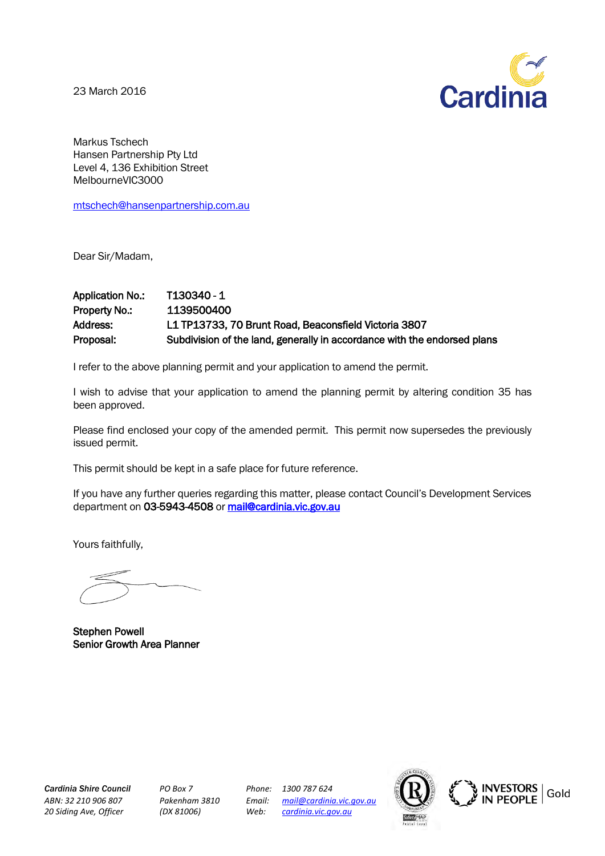23 March 2016



Markus Tschech Hansen Partnership Pty Ltd Level 4, 136 Exhibition Street MelbourneVIC3000

[mtschech@hansenpartnership.com.au](mailto:mtschech@hansenpartnership.com.au) 

Dear Sir/Madam,

# Application No.: T130340 - 1 Property No.: 1139500400 Address: L1 TP13733, 70 Brunt Road, Beaconsfield Victoria 3807 Proposal: Subdivision of the land, generally in accordance with the endorsed plans

I refer to the above planning permit and your application to amend the permit.

I wish to advise that your application to amend the planning permit by altering condition 35 has been approved.

Please find enclosed your copy of the amended permit. This permit now supersedes the previously issued permit.

This permit should be kept in a safe place for future reference.

If you have any further queries regarding this matter, please contact Council's Development Services department on 03-5943-4508 or [mail@cardinia.vic.gov.au](mailto:mail@cardinia.vic.gov.au) 

Yours faithfully,

Stephen Powell Senior Growth Area Planner

*Cardinia Shire Council PO Box 7 Phone: 1300 787 624 20 Siding Ave, Officer (DX 81006) Web: [cardinia.vic.gov.au](http://www.cardinia.vic.gov.au/)*

*ABN: 32 210 906 807 Pakenham 3810 Email: [mail@cardinia.vic.gov.au](mailto:mail@cardinia.vic.gov.au)*



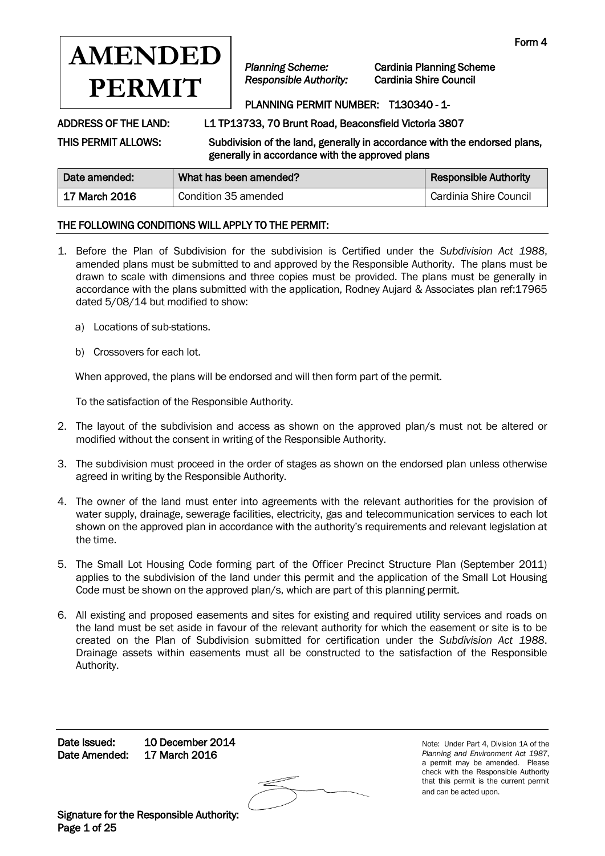

*Planning Scheme:* Cardinia Planning Scheme

## PLANNING PERMIT NUMBER: T130340 - 1-

ADDRESS OF THE LAND: L1 TP13733, 70 Brunt Road, Beaconsfield Victoria 3807

THIS PERMIT ALLOWS: Subdivision of the land, generally in accordance with the endorsed plans, generally in accordance with the approved plans

| generally in accordance with the approved plans |                        |                              |
|-------------------------------------------------|------------------------|------------------------------|
| Date amended:                                   | What has been amended? | <b>Responsible Authority</b> |

| Date amended: | what has been amended? | <b>Responsible Authority</b> |
|---------------|------------------------|------------------------------|
| 17 March 2016 | Condition 35 amended   | Cardinia Shire Council       |

## THE FOLLOWING CONDITIONS WILL APPLY TO THE PERMIT:

- 1. Before the Plan of Subdivision for the subdivision is Certified under the *Subdivision Act 1988*, amended plans must be submitted to and approved by the Responsible Authority. The plans must be drawn to scale with dimensions and three copies must be provided. The plans must be generally in accordance with the plans submitted with the application, Rodney Aujard & Associates plan ref:17965 dated 5/08/14 but modified to show:
	- a) Locations of sub-stations.
	- b) Crossovers for each lot.

When approved, the plans will be endorsed and will then form part of the permit.

To the satisfaction of the Responsible Authority.

- 2. The layout of the subdivision and access as shown on the approved plan/s must not be altered or modified without the consent in writing of the Responsible Authority.
- 3. The subdivision must proceed in the order of stages as shown on the endorsed plan unless otherwise agreed in writing by the Responsible Authority.
- 4. The owner of the land must enter into agreements with the relevant authorities for the provision of water supply, drainage, sewerage facilities, electricity, gas and telecommunication services to each lot shown on the approved plan in accordance with the authority's requirements and relevant legislation at the time.
- 5. The Small Lot Housing Code forming part of the Officer Precinct Structure Plan (September 2011) applies to the subdivision of the land under this permit and the application of the Small Lot Housing Code must be shown on the approved plan/s, which are part of this planning permit.
- 6. All existing and proposed easements and sites for existing and required utility services and roads on the land must be set aside in favour of the relevant authority for which the easement or site is to be created on the Plan of Subdivision submitted for certification under the *Subdivision Act 1988*. Drainage assets within easements must all be constructed to the satisfaction of the Responsible Authority.

Date Issued: 10 December 2014 Date Amended: 17 March 2016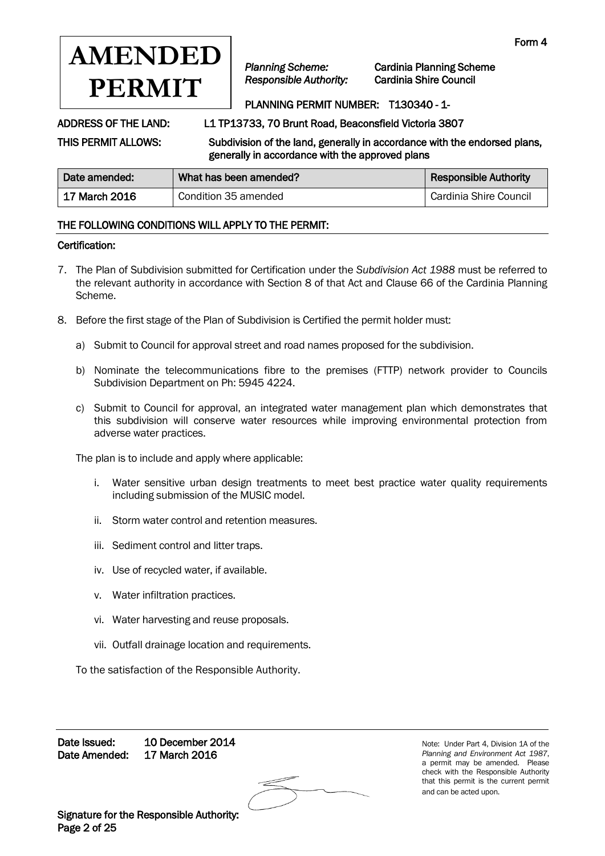

*Planning Scheme:* Cardinia Planning Scheme

## PLANNING PERMIT NUMBER: T130340 - 1-

ADDRESS OF THE LAND: L1 TP13733, 70 Brunt Road, Beaconsfield Victoria 3807

THIS PERMIT ALLOWS: Subdivision of the land, generally in accordance with the endorsed plans, generally in accordance with the approved plans

| Date amended: | What has been amended? | <b>Responsible Authority</b> |
|---------------|------------------------|------------------------------|
| 17 March 2016 | Condition 35 amended   | Cardinia Shire Council       |

## THE FOLLOWING CONDITIONS WILL APPLY TO THE PERMIT:

### Certification:

- 7. The Plan of Subdivision submitted for Certification under the *Subdivision Act 1988* must be referred to the relevant authority in accordance with Section 8 of that Act and Clause 66 of the Cardinia Planning Scheme.
- 8. Before the first stage of the Plan of Subdivision is Certified the permit holder must:
	- a) Submit to Council for approval street and road names proposed for the subdivision.
	- b) Nominate the telecommunications fibre to the premises (FTTP) network provider to Councils Subdivision Department on Ph: 5945 4224.
	- c) Submit to Council for approval, an integrated water management plan which demonstrates that this subdivision will conserve water resources while improving environmental protection from adverse water practices.

The plan is to include and apply where applicable:

- i. Water sensitive urban design treatments to meet best practice water quality requirements including submission of the MUSIC model.
- ii. Storm water control and retention measures.
- iii. Sediment control and litter traps.
- iv. Use of recycled water, if available.
- v. Water infiltration practices.
- vi. Water harvesting and reuse proposals.
- vii. Outfall drainage location and requirements.

To the satisfaction of the Responsible Authority.

Date Issued: 10 December 2014 Date Amended: 17 March 2016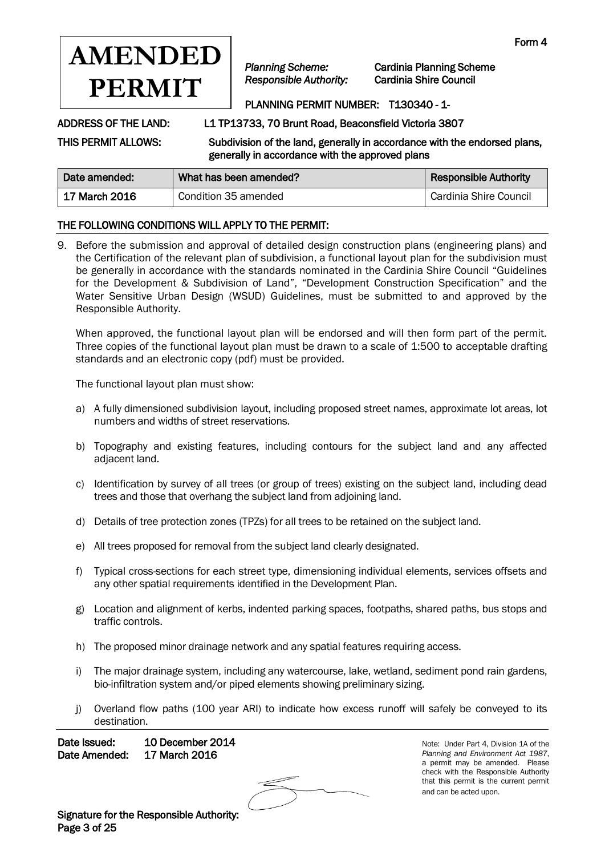

*Planning Scheme:* Cardinia Planning Scheme

# PLANNING PERMIT NUMBER: T130340 - 1-

ADDRESS OF THE LAND: L1 TP13733, 70 Brunt Road, Beaconsfield Victoria 3807

THIS PERMIT ALLOWS: Subdivision of the land, generally in accordance with the endorsed plans, generally in accordance with the approved plans

| Date amended: | What has been amended? | <b>Responsible Authority</b> |
|---------------|------------------------|------------------------------|
| 17 March 2016 | Condition 35 amended   | Cardinia Shire Council       |

## THE FOLLOWING CONDITIONS WILL APPLY TO THE PERMIT:

9. Before the submission and approval of detailed design construction plans (engineering plans) and the Certification of the relevant plan of subdivision, a functional layout plan for the subdivision must be generally in accordance with the standards nominated in the Cardinia Shire Council "Guidelines for the Development & Subdivision of Land", "Development Construction Specification" and the Water Sensitive Urban Design (WSUD) Guidelines, must be submitted to and approved by the Responsible Authority.

When approved, the functional layout plan will be endorsed and will then form part of the permit. Three copies of the functional layout plan must be drawn to a scale of 1:500 to acceptable drafting standards and an electronic copy (pdf) must be provided.

The functional layout plan must show:

- a) A fully dimensioned subdivision layout, including proposed street names, approximate lot areas, lot numbers and widths of street reservations.
- b) Topography and existing features, including contours for the subject land and any affected adjacent land.
- c) Identification by survey of all trees (or group of trees) existing on the subject land, including dead trees and those that overhang the subject land from adjoining land.
- d) Details of tree protection zones (TPZs) for all trees to be retained on the subject land.
- e) All trees proposed for removal from the subject land clearly designated.
- f) Typical cross-sections for each street type, dimensioning individual elements, services offsets and any other spatial requirements identified in the Development Plan.
- g) Location and alignment of kerbs, indented parking spaces, footpaths, shared paths, bus stops and traffic controls.
- h) The proposed minor drainage network and any spatial features requiring access.
- i) The major drainage system, including any watercourse, lake, wetland, sediment pond rain gardens, bio-infiltration system and/or piped elements showing preliminary sizing.
- j) Overland flow paths (100 year ARI) to indicate how excess runoff will safely be conveyed to its destination.

Date Issued: 10 December 2014 Date Amended: 17 March 2016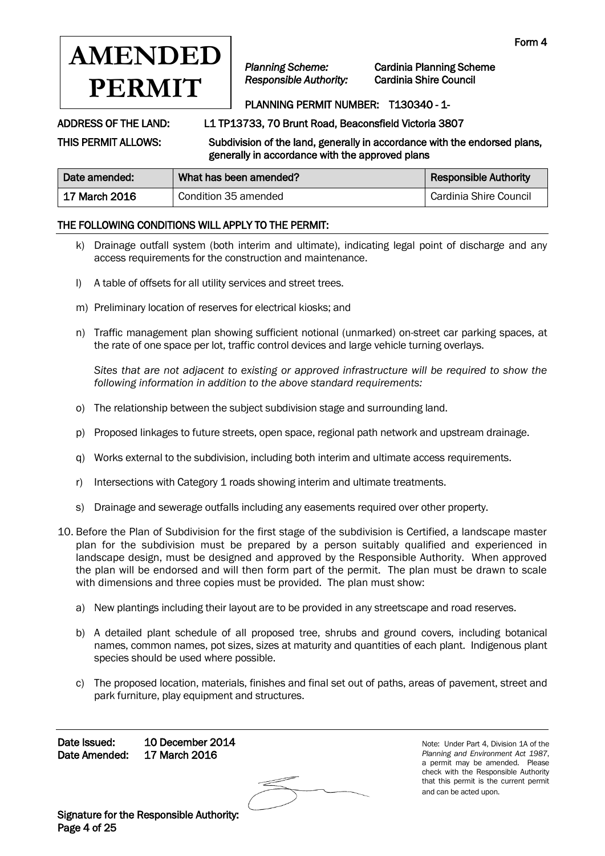

*Planning Scheme:* Cardinia Planning Scheme

# PLANNING PERMIT NUMBER: T130340 - 1-

ADDRESS OF THE LAND: L1 TP13733, 70 Brunt Road, Beaconsfield Victoria 3807

THIS PERMIT ALLOWS: Subdivision of the land, generally in accordance with the endorsed plans, generally in accordance with the approved plans

| Date amended: | What has been amended? | <b>Responsible Authority</b> |
|---------------|------------------------|------------------------------|
| 17 March 2016 | Condition 35 amended   | Cardinia Shire Council       |

## THE FOLLOWING CONDITIONS WILL APPLY TO THE PERMIT:

- k) Drainage outfall system (both interim and ultimate), indicating legal point of discharge and any access requirements for the construction and maintenance.
- l) A table of offsets for all utility services and street trees.
- m) Preliminary location of reserves for electrical kiosks; and
- n) Traffic management plan showing sufficient notional (unmarked) on-street car parking spaces, at the rate of one space per lot, traffic control devices and large vehicle turning overlays.

*Sites that are not adjacent to existing or approved infrastructure will be required to show the following information in addition to the above standard requirements:* 

- o) The relationship between the subject subdivision stage and surrounding land.
- p) Proposed linkages to future streets, open space, regional path network and upstream drainage.
- q) Works external to the subdivision, including both interim and ultimate access requirements.
- r) Intersections with Category 1 roads showing interim and ultimate treatments.
- s) Drainage and sewerage outfalls including any easements required over other property.
- 10. Before the Plan of Subdivision for the first stage of the subdivision is Certified, a landscape master plan for the subdivision must be prepared by a person suitably qualified and experienced in landscape design, must be designed and approved by the Responsible Authority. When approved the plan will be endorsed and will then form part of the permit. The plan must be drawn to scale with dimensions and three copies must be provided. The plan must show:
	- a) New plantings including their layout are to be provided in any streetscape and road reserves.
	- b) A detailed plant schedule of all proposed tree, shrubs and ground covers, including botanical names, common names, pot sizes, sizes at maturity and quantities of each plant. Indigenous plant species should be used where possible.
	- c) The proposed location, materials, finishes and final set out of paths, areas of pavement, street and park furniture, play equipment and structures.

Date Issued: 10 December 2014 Date Amended: 17 March 2016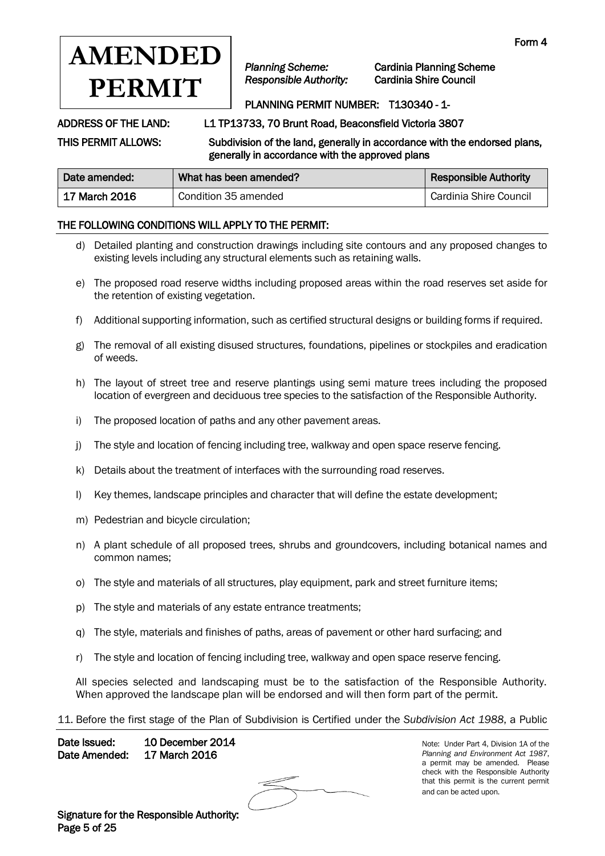

*Planning Scheme:* Cardinia Planning Scheme *Responsible Authority:* Cardinia Shire Council

# PLANNING PERMIT NUMBER: T130340 - 1-

ADDRESS OF THE LAND: L1 TP13733, 70 Brunt Road, Beaconsfield Victoria 3807

THIS PERMIT ALLOWS: Subdivision of the land, generally in accordance with the endorsed plans, generally in accordance with the approved plans

| Date amended: | What has been amended? | <b>Responsible Authority</b> |
|---------------|------------------------|------------------------------|
| 17 March 2016 | Condition 35 amended   | Cardinia Shire Council       |

## THE FOLLOWING CONDITIONS WILL APPLY TO THE PERMIT:

- d) Detailed planting and construction drawings including site contours and any proposed changes to existing levels including any structural elements such as retaining walls.
- e) The proposed road reserve widths including proposed areas within the road reserves set aside for the retention of existing vegetation.
- f) Additional supporting information, such as certified structural designs or building forms if required.
- g) The removal of all existing disused structures, foundations, pipelines or stockpiles and eradication of weeds.
- h) The layout of street tree and reserve plantings using semi mature trees including the proposed location of evergreen and deciduous tree species to the satisfaction of the Responsible Authority.
- i) The proposed location of paths and any other pavement areas.
- j) The style and location of fencing including tree, walkway and open space reserve fencing.
- k) Details about the treatment of interfaces with the surrounding road reserves.
- l) Key themes, landscape principles and character that will define the estate development;
- m) Pedestrian and bicycle circulation;
- n) A plant schedule of all proposed trees, shrubs and groundcovers, including botanical names and common names;
- o) The style and materials of all structures, play equipment, park and street furniture items;
- p) The style and materials of any estate entrance treatments;
- q) The style, materials and finishes of paths, areas of pavement or other hard surfacing; and
- r) The style and location of fencing including tree, walkway and open space reserve fencing.

All species selected and landscaping must be to the satisfaction of the Responsible Authority. When approved the landscape plan will be endorsed and will then form part of the permit.

### 11. Before the first stage of the Plan of Subdivision is Certified under the *Subdivision Act 1988*, a Public

Date Issued: 10 December 2014 Date Amended: 17 March 2016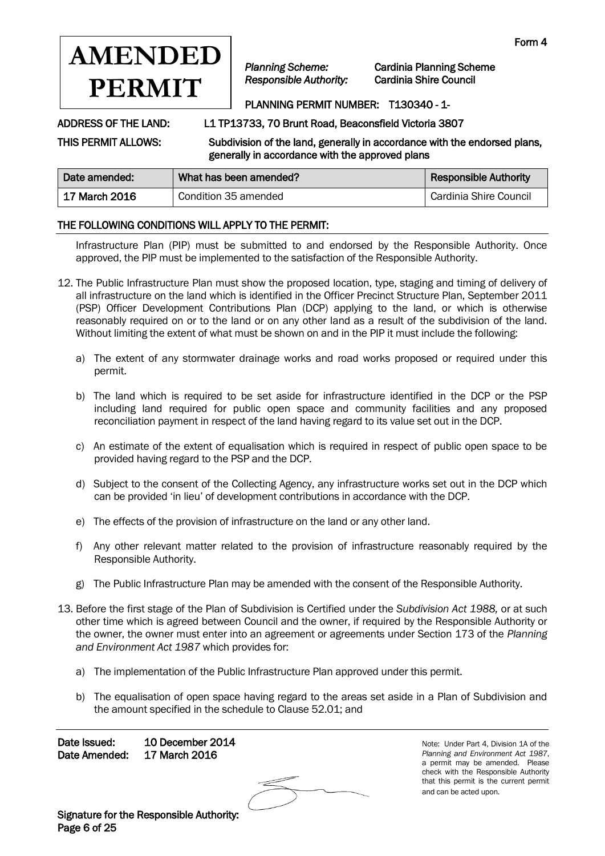

*Planning Scheme:* Cardinia Planning Scheme

# PLANNING PERMIT NUMBER: T130340 - 1-

ADDRESS OF THE LAND: L1 TP13733, 70 Brunt Road, Beaconsfield Victoria 3807

THIS PERMIT ALLOWS: Subdivision of the land, generally in accordance with the endorsed plans, generally in accordance with the approved plans

| Date amended: | What has been amended? | <b>Responsible Authority</b> |
|---------------|------------------------|------------------------------|
| 17 March 2016 | Condition 35 amended   | Cardinia Shire Council       |

## THE FOLLOWING CONDITIONS WILL APPLY TO THE PERMIT:

Infrastructure Plan (PIP) must be submitted to and endorsed by the Responsible Authority. Once approved, the PIP must be implemented to the satisfaction of the Responsible Authority.

- 12. The Public Infrastructure Plan must show the proposed location, type, staging and timing of delivery of all infrastructure on the land which is identified in the Officer Precinct Structure Plan, September 2011 (PSP) Officer Development Contributions Plan (DCP) applying to the land, or which is otherwise reasonably required on or to the land or on any other land as a result of the subdivision of the land. Without limiting the extent of what must be shown on and in the PIP it must include the following:
	- a) The extent of any stormwater drainage works and road works proposed or required under this permit.
	- b) The land which is required to be set aside for infrastructure identified in the DCP or the PSP including land required for public open space and community facilities and any proposed reconciliation payment in respect of the land having regard to its value set out in the DCP.
	- c) An estimate of the extent of equalisation which is required in respect of public open space to be provided having regard to the PSP and the DCP.
	- d) Subject to the consent of the Collecting Agency, any infrastructure works set out in the DCP which can be provided 'in lieu' of development contributions in accordance with the DCP.
	- e) The effects of the provision of infrastructure on the land or any other land.
	- f) Any other relevant matter related to the provision of infrastructure reasonably required by the Responsible Authority.
	- g) The Public Infrastructure Plan may be amended with the consent of the Responsible Authority.
- 13. Before the first stage of the Plan of Subdivision is Certified under the *Subdivision Act 1988,* or at such other time which is agreed between Council and the owner, if required by the Responsible Authority or the owner, the owner must enter into an agreement or agreements under Section 173 of the *Planning and Environment Act 1987* which provides for:
	- a) The implementation of the Public Infrastructure Plan approved under this permit.
	- b) The equalisation of open space having regard to the areas set aside in a Plan of Subdivision and the amount specified in the schedule to Clause 52.01; and

Date Issued: 10 December 2014 Date Amended: 17 March 2016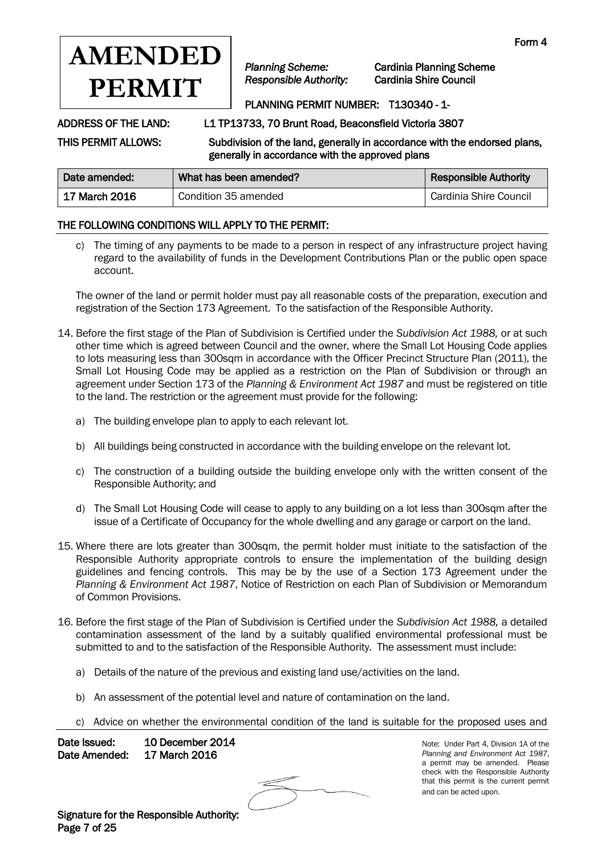

*Planning Scheme:* Cardinia Planning Scheme

# PLANNING PERMIT NUMBER: T130340 - 1-

ADDRESS OF THE LAND: L1 TP13733, 70 Brunt Road, Beaconsfield Victoria 3807

THIS PERMIT ALLOWS: Subdivision of the land, generally in accordance with the endorsed plans, generally in accordance with the approved plans

| Date amended: | What has been amended? | <b>Responsible Authority</b> |
|---------------|------------------------|------------------------------|
| 17 March 2016 | Condition 35 amended   | Cardinia Shire Council       |

## THE FOLLOWING CONDITIONS WILL APPLY TO THE PERMIT:

c) The timing of any payments to be made to a person in respect of any infrastructure project having regard to the availability of funds in the Development Contributions Plan or the public open space account.

The owner of the land or permit holder must pay all reasonable costs of the preparation, execution and registration of the Section 173 Agreement. To the satisfaction of the Responsible Authority.

- 14. Before the first stage of the Plan of Subdivision is Certified under the *Subdivision Act 1988,* or at such other time which is agreed between Council and the owner, where the Small Lot Housing Code applies to lots measuring less than 300sqm in accordance with the Officer Precinct Structure Plan (2011), the Small Lot Housing Code may be applied as a restriction on the Plan of Subdivision or through an agreement under Section 173 of the *Planning & Environment Act 1987* and must be registered on title to the land. The restriction or the agreement must provide for the following:
	- a) The building envelope plan to apply to each relevant lot.
	- b) All buildings being constructed in accordance with the building envelope on the relevant lot.
	- c) The construction of a building outside the building envelope only with the written consent of the Responsible Authority; and
	- d) The Small Lot Housing Code will cease to apply to any building on a lot less than 300sqm after the issue of a Certificate of Occupancy for the whole dwelling and any garage or carport on the land.
- 15. Where there are lots greater than 300sqm, the permit holder must initiate to the satisfaction of the Responsible Authority appropriate controls to ensure the implementation of the building design guidelines and fencing controls. This may be by the use of a Section 173 Agreement under the *Planning & Environment Act 1987*, Notice of Restriction on each Plan of Subdivision or Memorandum of Common Provisions.
- 16. Before the first stage of the Plan of Subdivision is Certified under the *Subdivision Act 1988,* a detailed contamination assessment of the land by a suitably qualified environmental professional must be submitted to and to the satisfaction of the Responsible Authority. The assessment must include:
	- a) Details of the nature of the previous and existing land use/activities on the land.
	- b) An assessment of the potential level and nature of contamination on the land.
	- c) Advice on whether the environmental condition of the land is suitable for the proposed uses and

Date Issued: 10 December 2014 Date Amended: 17 March 2016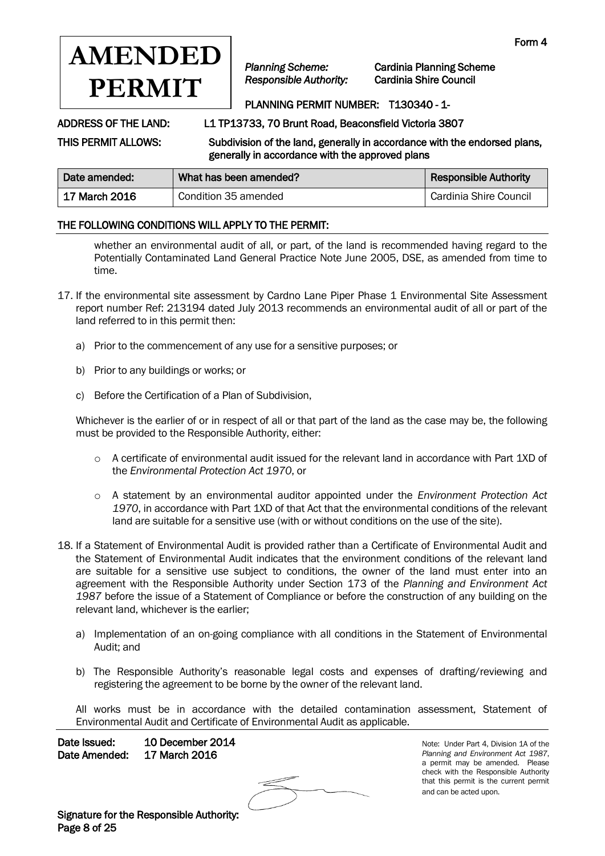

*Planning Scheme:* Cardinia Planning Scheme

# PLANNING PERMIT NUMBER: T130340 - 1-

ADDRESS OF THE LAND: L1 TP13733, 70 Brunt Road, Beaconsfield Victoria 3807

THIS PERMIT ALLOWS: Subdivision of the land, generally in accordance with the endorsed plans, generally in accordance with the approved plans

| Date amended: | What has been amended? | <b>Responsible Authority</b> |
|---------------|------------------------|------------------------------|
| 17 March 2016 | Condition 35 amended   | Cardinia Shire Council       |

## THE FOLLOWING CONDITIONS WILL APPLY TO THE PERMIT:

whether an environmental audit of all, or part, of the land is recommended having regard to the Potentially Contaminated Land General Practice Note June 2005, DSE, as amended from time to time.

- 17. If the environmental site assessment by Cardno Lane Piper Phase 1 Environmental Site Assessment report number Ref: 213194 dated July 2013 recommends an environmental audit of all or part of the land referred to in this permit then:
	- a) Prior to the commencement of any use for a sensitive purposes; or
	- b) Prior to any buildings or works; or
	- c) Before the Certification of a Plan of Subdivision,

Whichever is the earlier of or in respect of all or that part of the land as the case may be, the following must be provided to the Responsible Authority, either:

- o A certificate of environmental audit issued for the relevant land in accordance with Part 1XD of the *Environmental Protection Act 1970*, or
- o A statement by an environmental auditor appointed under the *Environment Protection Act 1970*, in accordance with Part 1XD of that Act that the environmental conditions of the relevant land are suitable for a sensitive use (with or without conditions on the use of the site).
- 18. If a Statement of Environmental Audit is provided rather than a Certificate of Environmental Audit and the Statement of Environmental Audit indicates that the environment conditions of the relevant land are suitable for a sensitive use subject to conditions, the owner of the land must enter into an agreement with the Responsible Authority under Section 173 of the *Planning and Environment Act 1987* before the issue of a Statement of Compliance or before the construction of any building on the relevant land, whichever is the earlier;
	- a) Implementation of an on-going compliance with all conditions in the Statement of Environmental Audit; and
	- b) The Responsible Authority's reasonable legal costs and expenses of drafting/reviewing and registering the agreement to be borne by the owner of the relevant land.

All works must be in accordance with the detailed contamination assessment, Statement of Environmental Audit and Certificate of Environmental Audit as applicable.

Date Issued: 10 December 2014 Date Amended: 17 March 2016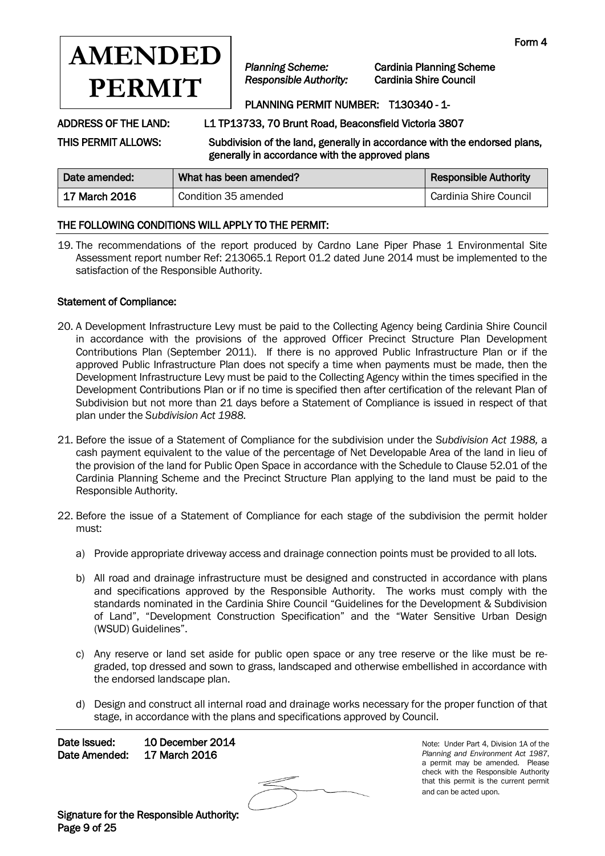

*Planning Scheme:* Cardinia Planning Scheme

# PLANNING PERMIT NUMBER: T130340 - 1-

ADDRESS OF THE LAND: L1 TP13733, 70 Brunt Road, Beaconsfield Victoria 3807

THIS PERMIT ALLOWS: Subdivision of the land, generally in accordance with the endorsed plans,

generally in accordance with the approved plans

| Date amended: | What has been amended? | <b>Responsible Authority</b> |
|---------------|------------------------|------------------------------|
| 17 March 2016 | Condition 35 amended   | Cardinia Shire Council       |

## THE FOLLOWING CONDITIONS WILL APPLY TO THE PERMIT:

19. The recommendations of the report produced by Cardno Lane Piper Phase 1 Environmental Site Assessment report number Ref: 213065.1 Report 01.2 dated June 2014 must be implemented to the satisfaction of the Responsible Authority.

### Statement of Compliance:

- 20. A Development Infrastructure Levy must be paid to the Collecting Agency being Cardinia Shire Council in accordance with the provisions of the approved Officer Precinct Structure Plan Development Contributions Plan (September 2011). If there is no approved Public Infrastructure Plan or if the approved Public Infrastructure Plan does not specify a time when payments must be made, then the Development Infrastructure Levy must be paid to the Collecting Agency within the times specified in the Development Contributions Plan or if no time is specified then after certification of the relevant Plan of Subdivision but not more than 21 days before a Statement of Compliance is issued in respect of that plan under the *Subdivision Act 1988.*
- 21. Before the issue of a Statement of Compliance for the subdivision under the *Subdivision Act 1988,* a cash payment equivalent to the value of the percentage of Net Developable Area of the land in lieu of the provision of the land for Public Open Space in accordance with the Schedule to Clause 52.01 of the Cardinia Planning Scheme and the Precinct Structure Plan applying to the land must be paid to the Responsible Authority.
- 22. Before the issue of a Statement of Compliance for each stage of the subdivision the permit holder must:
	- a) Provide appropriate driveway access and drainage connection points must be provided to all lots.
	- b) All road and drainage infrastructure must be designed and constructed in accordance with plans and specifications approved by the Responsible Authority. The works must comply with the standards nominated in the Cardinia Shire Council "Guidelines for the Development & Subdivision of Land", "Development Construction Specification" and the "Water Sensitive Urban Design (WSUD) Guidelines".
	- c) Any reserve or land set aside for public open space or any tree reserve or the like must be regraded, top dressed and sown to grass, landscaped and otherwise embellished in accordance with the endorsed landscape plan.
	- d) Design and construct all internal road and drainage works necessary for the proper function of that stage, in accordance with the plans and specifications approved by Council.

Date Issued: 10 December 2014 Date Amended: 17 March 2016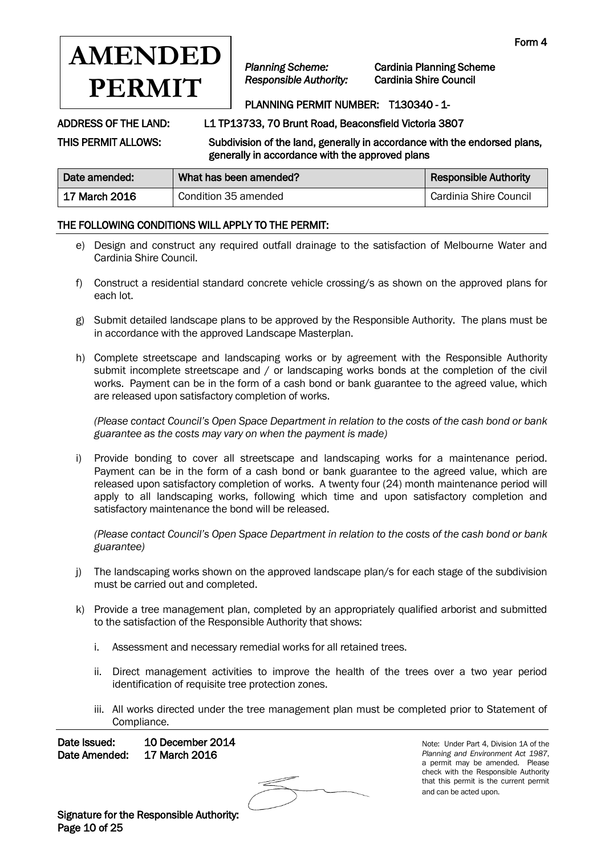

*Planning Scheme:* Cardinia Planning Scheme

# PLANNING PERMIT NUMBER: T130340 - 1-

ADDRESS OF THE LAND: L1 TP13733, 70 Brunt Road, Beaconsfield Victoria 3807

THIS PERMIT ALLOWS: Subdivision of the land, generally in accordance with the endorsed plans, generally in accordance with the approved plans

| Date amended: | What has been amended? | <b>Responsible Authority</b> |
|---------------|------------------------|------------------------------|
| 17 March 2016 | Condition 35 amended   | Cardinia Shire Council       |

## THE FOLLOWING CONDITIONS WILL APPLY TO THE PERMIT:

- e) Design and construct any required outfall drainage to the satisfaction of Melbourne Water and Cardinia Shire Council.
- f) Construct a residential standard concrete vehicle crossing/s as shown on the approved plans for each lot.
- g) Submit detailed landscape plans to be approved by the Responsible Authority. The plans must be in accordance with the approved Landscape Masterplan.
- h) Complete streetscape and landscaping works or by agreement with the Responsible Authority submit incomplete streetscape and / or landscaping works bonds at the completion of the civil works. Payment can be in the form of a cash bond or bank guarantee to the agreed value, which are released upon satisfactory completion of works.

*(Please contact Council's Open Space Department in relation to the costs of the cash bond or bank guarantee as the costs may vary on when the payment is made)* 

i) Provide bonding to cover all streetscape and landscaping works for a maintenance period. Payment can be in the form of a cash bond or bank guarantee to the agreed value, which are released upon satisfactory completion of works. A twenty four (24) month maintenance period will apply to all landscaping works, following which time and upon satisfactory completion and satisfactory maintenance the bond will be released.

*(Please contact Council's Open Space Department in relation to the costs of the cash bond or bank guarantee)*

- j) The landscaping works shown on the approved landscape plan/s for each stage of the subdivision must be carried out and completed.
- k) Provide a tree management plan, completed by an appropriately qualified arborist and submitted to the satisfaction of the Responsible Authority that shows:
	- i. Assessment and necessary remedial works for all retained trees.
	- ii. Direct management activities to improve the health of the trees over a two year period identification of requisite tree protection zones.
	- iii. All works directed under the tree management plan must be completed prior to Statement of Compliance.

Date Issued: 10 December 2014 Date Amended: 17 March 2016

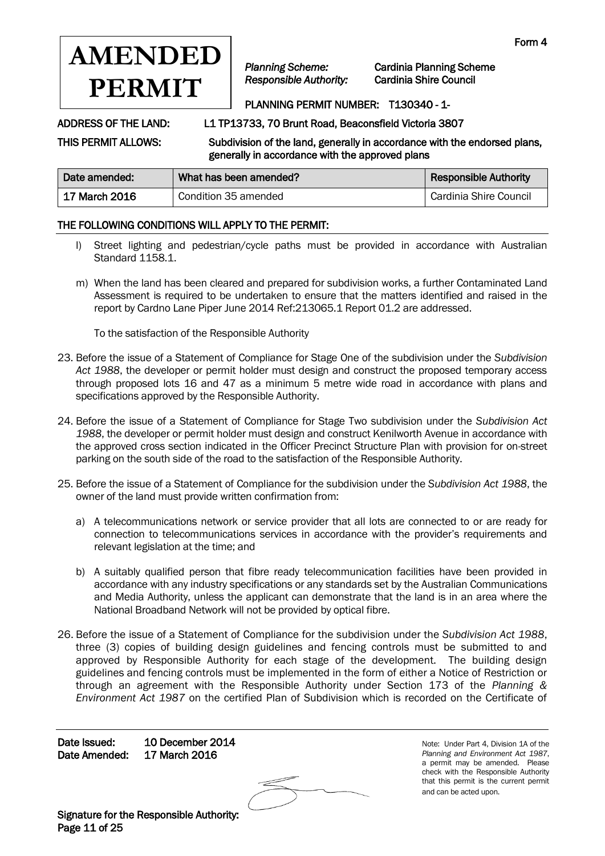

*Planning Scheme:* Cardinia Planning Scheme

# PLANNING PERMIT NUMBER: T130340 - 1-

ADDRESS OF THE LAND: L1 TP13733, 70 Brunt Road, Beaconsfield Victoria 3807

THIS PERMIT ALLOWS: Subdivision of the land, generally in accordance with the endorsed plans, generally in accordance with the approved plans

| Date amended:   | What has been amended? | <b>Responsible Authority</b> |
|-----------------|------------------------|------------------------------|
| ∣ 17 March 2016 | Condition 35 amended   | Cardinia Shire Council       |

## THE FOLLOWING CONDITIONS WILL APPLY TO THE PERMIT:

- l) Street lighting and pedestrian/cycle paths must be provided in accordance with Australian Standard 1158.1.
- m) When the land has been cleared and prepared for subdivision works, a further Contaminated Land Assessment is required to be undertaken to ensure that the matters identified and raised in the report by Cardno Lane Piper June 2014 Ref:213065.1 Report 01.2 are addressed.

To the satisfaction of the Responsible Authority

- 23. Before the issue of a Statement of Compliance for Stage One of the subdivision under the *Subdivision Act 1988*, the developer or permit holder must design and construct the proposed temporary access through proposed lots 16 and 47 as a minimum 5 metre wide road in accordance with plans and specifications approved by the Responsible Authority.
- 24. Before the issue of a Statement of Compliance for Stage Two subdivision under the *Subdivision Act 1988*, the developer or permit holder must design and construct Kenilworth Avenue in accordance with the approved cross section indicated in the Officer Precinct Structure Plan with provision for on-street parking on the south side of the road to the satisfaction of the Responsible Authority.
- 25. Before the issue of a Statement of Compliance for the subdivision under the *Subdivision Act 1988*, the owner of the land must provide written confirmation from:
	- a) A telecommunications network or service provider that all lots are connected to or are ready for connection to telecommunications services in accordance with the provider's requirements and relevant legislation at the time; and
	- b) A suitably qualified person that fibre ready telecommunication facilities have been provided in accordance with any industry specifications or any standards set by the Australian Communications and Media Authority, unless the applicant can demonstrate that the land is in an area where the National Broadband Network will not be provided by optical fibre.
- 26. Before the issue of a Statement of Compliance for the subdivision under the *Subdivision Act 1988*, three (3) copies of building design guidelines and fencing controls must be submitted to and approved by Responsible Authority for each stage of the development. The building design guidelines and fencing controls must be implemented in the form of either a Notice of Restriction or through an agreement with the Responsible Authority under Section 173 of the *Planning & Environment Act 1987* on the certified Plan of Subdivision which is recorded on the Certificate of

Date Issued: 10 December 2014 Date Amended: 17 March 2016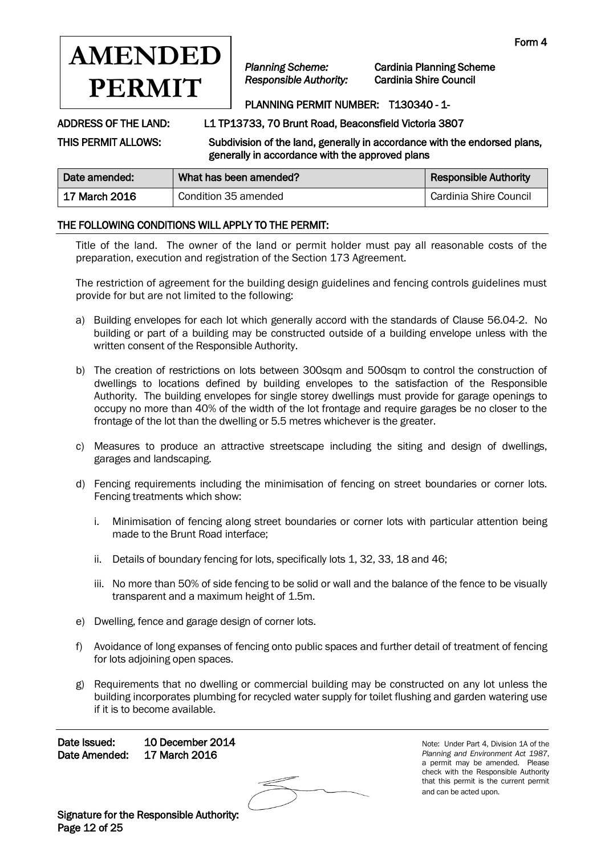

*Planning Scheme:* Cardinia Planning Scheme

# PLANNING PERMIT NUMBER: T130340 - 1-

ADDRESS OF THE LAND: L1 TP13733, 70 Brunt Road, Beaconsfield Victoria 3807

THIS PERMIT ALLOWS: Subdivision of the land, generally in accordance with the endorsed plans, generally in accordance with the approved plans

| Date amended: | What has been amended? | <b>Responsible Authority</b> |
|---------------|------------------------|------------------------------|
| 17 March 2016 | Condition 35 amended   | Cardinia Shire Council       |

## THE FOLLOWING CONDITIONS WILL APPLY TO THE PERMIT:

Title of the land. The owner of the land or permit holder must pay all reasonable costs of the preparation, execution and registration of the Section 173 Agreement.

The restriction of agreement for the building design guidelines and fencing controls guidelines must provide for but are not limited to the following:

- a) Building envelopes for each lot which generally accord with the standards of Clause 56.04-2. No building or part of a building may be constructed outside of a building envelope unless with the written consent of the Responsible Authority.
- b) The creation of restrictions on lots between 300sqm and 500sqm to control the construction of dwellings to locations defined by building envelopes to the satisfaction of the Responsible Authority. The building envelopes for single storey dwellings must provide for garage openings to occupy no more than 40% of the width of the lot frontage and require garages be no closer to the frontage of the lot than the dwelling or 5.5 metres whichever is the greater.
- c) Measures to produce an attractive streetscape including the siting and design of dwellings, garages and landscaping.
- d) Fencing requirements including the minimisation of fencing on street boundaries or corner lots. Fencing treatments which show:
	- i. Minimisation of fencing along street boundaries or corner lots with particular attention being made to the Brunt Road interface;
	- ii. Details of boundary fencing for lots, specifically lots 1, 32, 33, 18 and 46;
	- iii. No more than 50% of side fencing to be solid or wall and the balance of the fence to be visually transparent and a maximum height of 1.5m.
- e) Dwelling, fence and garage design of corner lots.
- f) Avoidance of long expanses of fencing onto public spaces and further detail of treatment of fencing for lots adjoining open spaces.
- g) Requirements that no dwelling or commercial building may be constructed on any lot unless the building incorporates plumbing for recycled water supply for toilet flushing and garden watering use if it is to become available.

Date Issued: 10 December 2014 Date Amended: 17 March 2016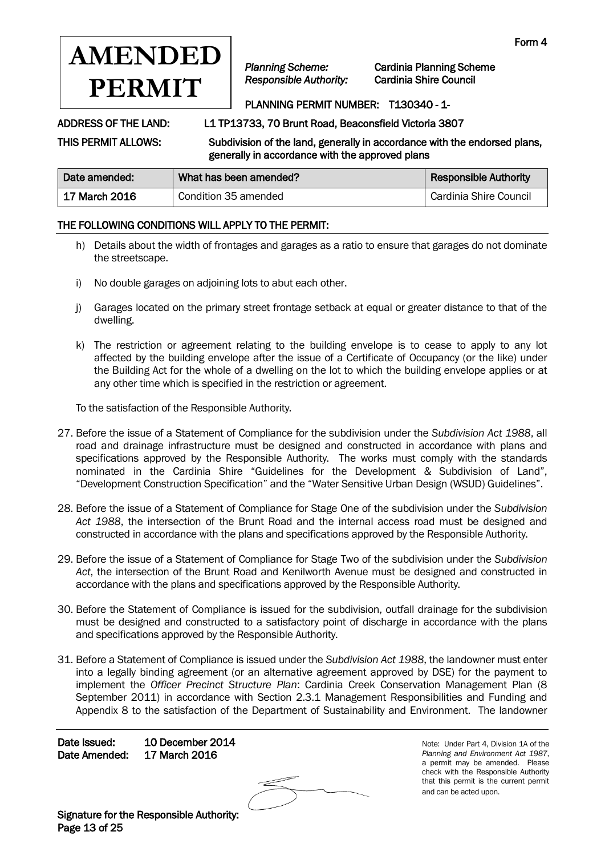

*Planning Scheme:* Cardinia Planning Scheme

# PLANNING PERMIT NUMBER: T130340 - 1-

ADDRESS OF THE LAND: L1 TP13733, 70 Brunt Road, Beaconsfield Victoria 3807

THIS PERMIT ALLOWS: Subdivision of the land, generally in accordance with the endorsed plans, generally in accordance with the approved plans

| Date amended: | What has been amended? | <b>Responsible Authority</b> |
|---------------|------------------------|------------------------------|
| 17 March 2016 | Condition 35 amended   | Cardinia Shire Council       |

## THE FOLLOWING CONDITIONS WILL APPLY TO THE PERMIT:

- h) Details about the width of frontages and garages as a ratio to ensure that garages do not dominate the streetscape.
- i) No double garages on adjoining lots to abut each other.
- j) Garages located on the primary street frontage setback at equal or greater distance to that of the dwelling.
- k) The restriction or agreement relating to the building envelope is to cease to apply to any lot affected by the building envelope after the issue of a Certificate of Occupancy (or the like) under the Building Act for the whole of a dwelling on the lot to which the building envelope applies or at any other time which is specified in the restriction or agreement.

To the satisfaction of the Responsible Authority.

- 27. Before the issue of a Statement of Compliance for the subdivision under the *Subdivision Act 1988*, all road and drainage infrastructure must be designed and constructed in accordance with plans and specifications approved by the Responsible Authority. The works must comply with the standards nominated in the Cardinia Shire "Guidelines for the Development & Subdivision of Land", "Development Construction Specification" and the "Water Sensitive Urban Design (WSUD) Guidelines".
- 28. Before the issue of a Statement of Compliance for Stage One of the subdivision under the *Subdivision Act 1988*, the intersection of the Brunt Road and the internal access road must be designed and constructed in accordance with the plans and specifications approved by the Responsible Authority.
- 29. Before the issue of a Statement of Compliance for Stage Two of the subdivision under the *Subdivision Act*, the intersection of the Brunt Road and Kenilworth Avenue must be designed and constructed in accordance with the plans and specifications approved by the Responsible Authority.
- 30. Before the Statement of Compliance is issued for the subdivision, outfall drainage for the subdivision must be designed and constructed to a satisfactory point of discharge in accordance with the plans and specifications approved by the Responsible Authority.
- 31. Before a Statement of Compliance is issued under the *Subdivision Act 1988*, the landowner must enter into a legally binding agreement (or an alternative agreement approved by DSE) for the payment to implement the *Officer Precinct Structure Plan*: Cardinia Creek Conservation Management Plan (8 September 2011) in accordance with Section 2.3.1 Management Responsibilities and Funding and Appendix 8 to the satisfaction of the Department of Sustainability and Environment. The landowner

Date Issued: 10 December 2014 Date Amended: 17 March 2016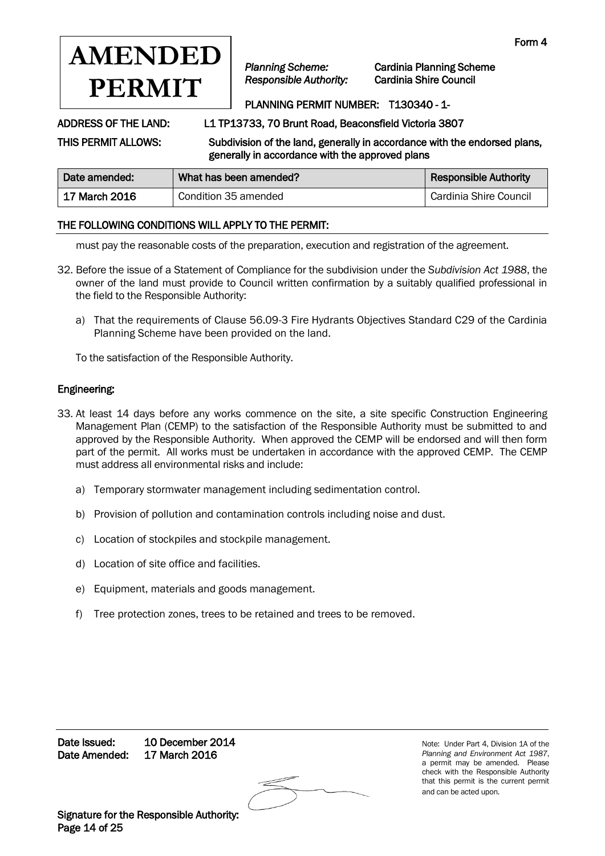

*Planning Scheme:* Cardinia Planning Scheme

# PLANNING PERMIT NUMBER: T130340 - 1-

ADDRESS OF THE LAND: L1 TP13733, 70 Brunt Road, Beaconsfield Victoria 3807

THIS PERMIT ALLOWS: Subdivision of the land, generally in accordance with the endorsed plans, generally in accordance with the approved plans

| Date amended:   | What has been amended? | <b>Responsible Authority</b> |
|-----------------|------------------------|------------------------------|
| ∣ 17 March 2016 | Condition 35 amended   | Cardinia Shire Council       |

### THE FOLLOWING CONDITIONS WILL APPLY TO THE PERMIT:

must pay the reasonable costs of the preparation, execution and registration of the agreement.

- 32. Before the issue of a Statement of Compliance for the subdivision under the *Subdivision Act 1988*, the owner of the land must provide to Council written confirmation by a suitably qualified professional in the field to the Responsible Authority:
	- a) That the requirements of Clause 56.09-3 Fire Hydrants Objectives Standard C29 of the Cardinia Planning Scheme have been provided on the land.

To the satisfaction of the Responsible Authority.

### Engineering:

- 33. At least 14 days before any works commence on the site, a site specific Construction Engineering Management Plan (CEMP) to the satisfaction of the Responsible Authority must be submitted to and approved by the Responsible Authority. When approved the CEMP will be endorsed and will then form part of the permit. All works must be undertaken in accordance with the approved CEMP. The CEMP must address all environmental risks and include:
	- a) Temporary stormwater management including sedimentation control.
	- b) Provision of pollution and contamination controls including noise and dust.
	- c) Location of stockpiles and stockpile management.
	- d) Location of site office and facilities.
	- e) Equipment, materials and goods management.
	- f) Tree protection zones, trees to be retained and trees to be removed.

Date Issued: 10 December 2014 Date Amended: 17 March 2016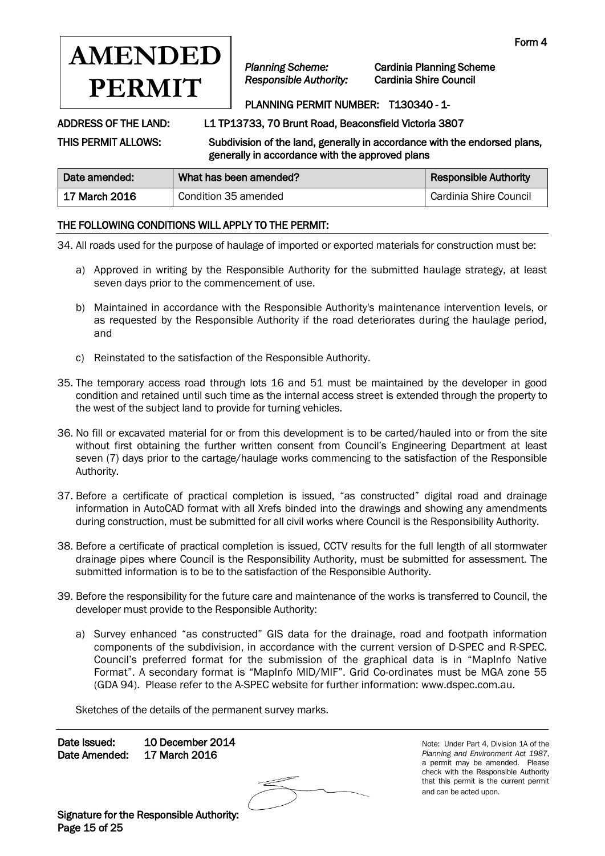

*Planning Scheme:* Cardinia Planning Scheme

## PLANNING PERMIT NUMBER: T130340 - 1-

ADDRESS OF THE LAND: L1 TP13733, 70 Brunt Road, Beaconsfield Victoria 3807

THIS PERMIT ALLOWS: Subdivision of the land, generally in accordance with the endorsed plans, generally in accordance with the approved plans

| Date amended: | What has been amended? | <b>Responsible Authority</b> |
|---------------|------------------------|------------------------------|
| 17 March 2016 | Condition 35 amended   | Cardinia Shire Council       |

## THE FOLLOWING CONDITIONS WILL APPLY TO THE PERMIT:

34. All roads used for the purpose of haulage of imported or exported materials for construction must be:

- a) Approved in writing by the Responsible Authority for the submitted haulage strategy, at least seven days prior to the commencement of use.
- b) Maintained in accordance with the Responsible Authority's maintenance intervention levels, or as requested by the Responsible Authority if the road deteriorates during the haulage period, and
- c) Reinstated to the satisfaction of the Responsible Authority.
- 35. The temporary access road through lots 16 and 51 must be maintained by the developer in good condition and retained until such time as the internal access street is extended through the property to the west of the subject land to provide for turning vehicles.
- 36. No fill or excavated material for or from this development is to be carted/hauled into or from the site without first obtaining the further written consent from Council's Engineering Department at least seven (7) days prior to the cartage/haulage works commencing to the satisfaction of the Responsible Authority.
- 37. Before a certificate of practical completion is issued, "as constructed" digital road and drainage information in AutoCAD format with all Xrefs binded into the drawings and showing any amendments during construction, must be submitted for all civil works where Council is the Responsibility Authority.
- 38. Before a certificate of practical completion is issued, CCTV results for the full length of all stormwater drainage pipes where Council is the Responsibility Authority, must be submitted for assessment. The submitted information is to be to the satisfaction of the Responsible Authority.
- 39. Before the responsibility for the future care and maintenance of the works is transferred to Council, the developer must provide to the Responsible Authority:
	- a) Survey enhanced "as constructed" GIS data for the drainage, road and footpath information components of the subdivision, in accordance with the current version of D-SPEC and R-SPEC. Council's preferred format for the submission of the graphical data is in "MapInfo Native Format". A secondary format is "MapInfo MID/MIF". Grid Co-ordinates must be MGA zone 55 (GDA 94). Please refer to the A-SPEC website for further information: [www.dspec.com.au.](http://www.dspec.com.au/)

Sketches of the details of the permanent survey marks.

Date Issued: 10 December 2014 Date Amended: 17 March 2016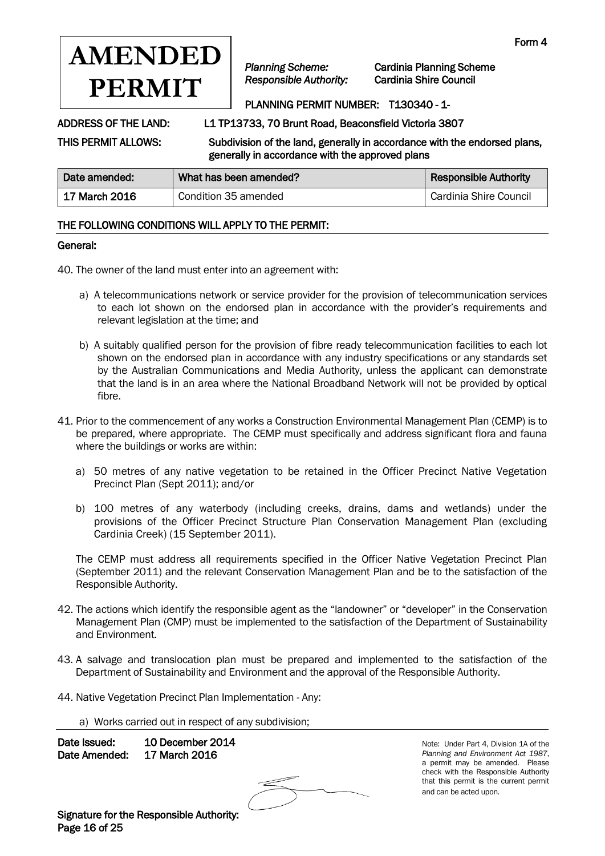

*Planning Scheme:* Cardinia Planning Scheme

## PLANNING PERMIT NUMBER: T130340 - 1-

ADDRESS OF THE LAND: L1 TP13733, 70 Brunt Road, Beaconsfield Victoria 3807

THIS PERMIT ALLOWS: Subdivision of the land, generally in accordance with the endorsed plans, generally in accordance with the approved plans

| Date amended: | What has been amended? | <b>Responsible Authority</b> |
|---------------|------------------------|------------------------------|
| 17 March 2016 | Condition 35 amended   | Cardinia Shire Council       |

## THE FOLLOWING CONDITIONS WILL APPLY TO THE PERMIT:

### General:

40. The owner of the land must enter into an agreement with:

- a) A telecommunications network or service provider for the provision of telecommunication services to each lot shown on the endorsed plan in accordance with the provider's requirements and relevant legislation at the time; and
- b) A suitably qualified person for the provision of fibre ready telecommunication facilities to each lot shown on the endorsed plan in accordance with any industry specifications or any standards set by the Australian Communications and Media Authority, unless the applicant can demonstrate that the land is in an area where the National Broadband Network will not be provided by optical fibre.
- 41. Prior to the commencement of any works a Construction Environmental Management Plan (CEMP) is to be prepared, where appropriate. The CEMP must specifically and address significant flora and fauna where the buildings or works are within:
	- a) 50 metres of any native vegetation to be retained in the Officer Precinct Native Vegetation Precinct Plan (Sept 2011); and/or
	- b) 100 metres of any waterbody (including creeks, drains, dams and wetlands) under the provisions of the Officer Precinct Structure Plan Conservation Management Plan (excluding Cardinia Creek) (15 September 2011).

The CEMP must address all requirements specified in the Officer Native Vegetation Precinct Plan (September 2011) and the relevant Conservation Management Plan and be to the satisfaction of the Responsible Authority.

- 42. The actions which identify the responsible agent as the "landowner" or "developer" in the Conservation Management Plan (CMP) must be implemented to the satisfaction of the Department of Sustainability and Environment.
- 43. A salvage and translocation plan must be prepared and implemented to the satisfaction of the Department of Sustainability and Environment and the approval of the Responsible Authority.
- 44. Native Vegetation Precinct Plan Implementation Any:

a) Works carried out in respect of any subdivision;

Date Issued: 10 December 2014 Date Amended: 17 March 2016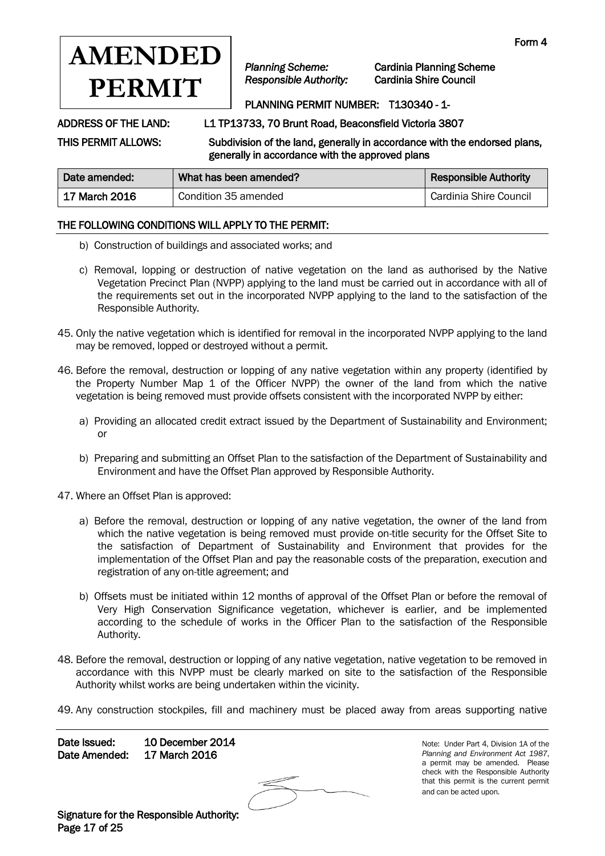

*Planning Scheme:* Cardinia Planning Scheme

# PLANNING PERMIT NUMBER: T130340 - 1-

ADDRESS OF THE LAND: L1 TP13733, 70 Brunt Road, Beaconsfield Victoria 3807

THIS PERMIT ALLOWS: Subdivision of the land, generally in accordance with the endorsed plans, generally in accordance with the approved plans

| Date amended:   | What has been amended? | <b>Responsible Authority</b> |
|-----------------|------------------------|------------------------------|
| ∣ 17 March 2016 | Condition 35 amended   | Cardinia Shire Council       |

## THE FOLLOWING CONDITIONS WILL APPLY TO THE PERMIT:

- b) Construction of buildings and associated works; and
- c) Removal, lopping or destruction of native vegetation on the land as authorised by the Native Vegetation Precinct Plan (NVPP) applying to the land must be carried out in accordance with all of the requirements set out in the incorporated NVPP applying to the land to the satisfaction of the Responsible Authority.
- 45. Only the native vegetation which is identified for removal in the incorporated NVPP applying to the land may be removed, lopped or destroyed without a permit.
- 46. Before the removal, destruction or lopping of any native vegetation within any property (identified by the Property Number Map 1 of the Officer NVPP) the owner of the land from which the native vegetation is being removed must provide offsets consistent with the incorporated NVPP by either:
	- a) Providing an allocated credit extract issued by the Department of Sustainability and Environment; or
	- b) Preparing and submitting an Offset Plan to the satisfaction of the Department of Sustainability and Environment and have the Offset Plan approved by Responsible Authority.
- 47. Where an Offset Plan is approved:
	- a) Before the removal, destruction or lopping of any native vegetation, the owner of the land from which the native vegetation is being removed must provide on-title security for the Offset Site to the satisfaction of Department of Sustainability and Environment that provides for the implementation of the Offset Plan and pay the reasonable costs of the preparation, execution and registration of any on-title agreement; and
	- b) Offsets must be initiated within 12 months of approval of the Offset Plan or before the removal of Very High Conservation Significance vegetation, whichever is earlier, and be implemented according to the schedule of works in the Officer Plan to the satisfaction of the Responsible Authority.
- 48. Before the removal, destruction or lopping of any native vegetation, native vegetation to be removed in accordance with this NVPP must be clearly marked on site to the satisfaction of the Responsible Authority whilst works are being undertaken within the vicinity.
- 49. Any construction stockpiles, fill and machinery must be placed away from areas supporting native

Date Issued: 10 December 2014 Date Amended: 17 March 2016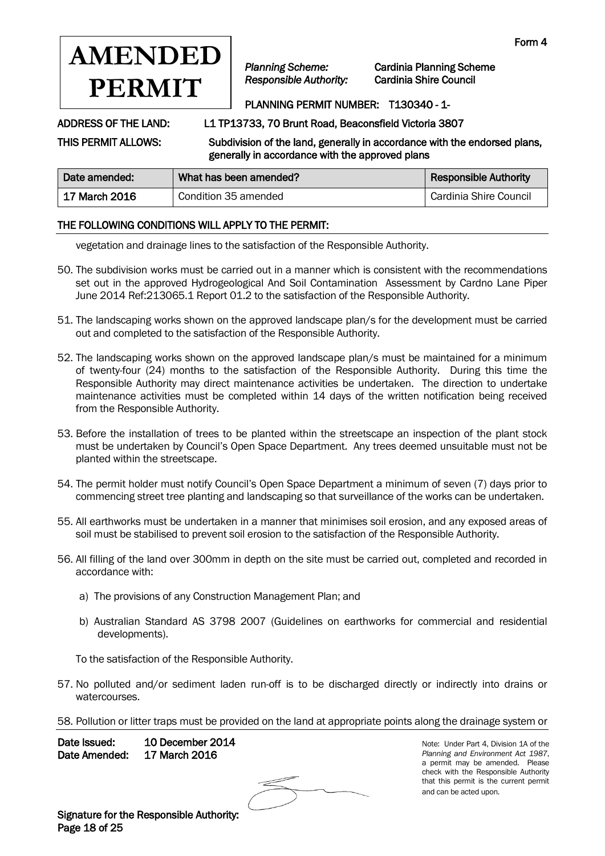

*Planning Scheme:* Cardinia Planning Scheme

# PLANNING PERMIT NUMBER: T130340 - 1-

ADDRESS OF THE LAND: L1 TP13733, 70 Brunt Road, Beaconsfield Victoria 3807

THIS PERMIT ALLOWS: Subdivision of the land, generally in accordance with the endorsed plans, generally in accordance with the approved plans

| Date amended: | What has been amended? | <b>Responsible Authority</b> |
|---------------|------------------------|------------------------------|
| 17 March 2016 | Condition 35 amended   | Cardinia Shire Council       |

## THE FOLLOWING CONDITIONS WILL APPLY TO THE PERMIT:

vegetation and drainage lines to the satisfaction of the Responsible Authority.

- 50. The subdivision works must be carried out in a manner which is consistent with the recommendations set out in the approved Hydrogeological And Soil Contamination Assessment by Cardno Lane Piper June 2014 Ref:213065.1 Report 01.2 to the satisfaction of the Responsible Authority.
- 51. The landscaping works shown on the approved landscape plan/s for the development must be carried out and completed to the satisfaction of the Responsible Authority.
- 52. The landscaping works shown on the approved landscape plan/s must be maintained for a minimum of twenty-four (24) months to the satisfaction of the Responsible Authority. During this time the Responsible Authority may direct maintenance activities be undertaken. The direction to undertake maintenance activities must be completed within 14 days of the written notification being received from the Responsible Authority.
- 53. Before the installation of trees to be planted within the streetscape an inspection of the plant stock must be undertaken by Council's Open Space Department. Any trees deemed unsuitable must not be planted within the streetscape.
- 54. The permit holder must notify Council's Open Space Department a minimum of seven (7) days prior to commencing street tree planting and landscaping so that surveillance of the works can be undertaken.
- 55. All earthworks must be undertaken in a manner that minimises soil erosion, and any exposed areas of soil must be stabilised to prevent soil erosion to the satisfaction of the Responsible Authority.
- 56. All filling of the land over 300mm in depth on the site must be carried out, completed and recorded in accordance with:
	- a) The provisions of any Construction Management Plan; and
	- b) Australian Standard AS 3798 2007 (Guidelines on earthworks for commercial and residential developments).

To the satisfaction of the Responsible Authority.

- 57. No polluted and/or sediment laden run-off is to be discharged directly or indirectly into drains or watercourses.
- 58. Pollution or litter traps must be provided on the land at appropriate points along the drainage system or

Date Issued: 10 December 2014 Date Amended: 17 March 2016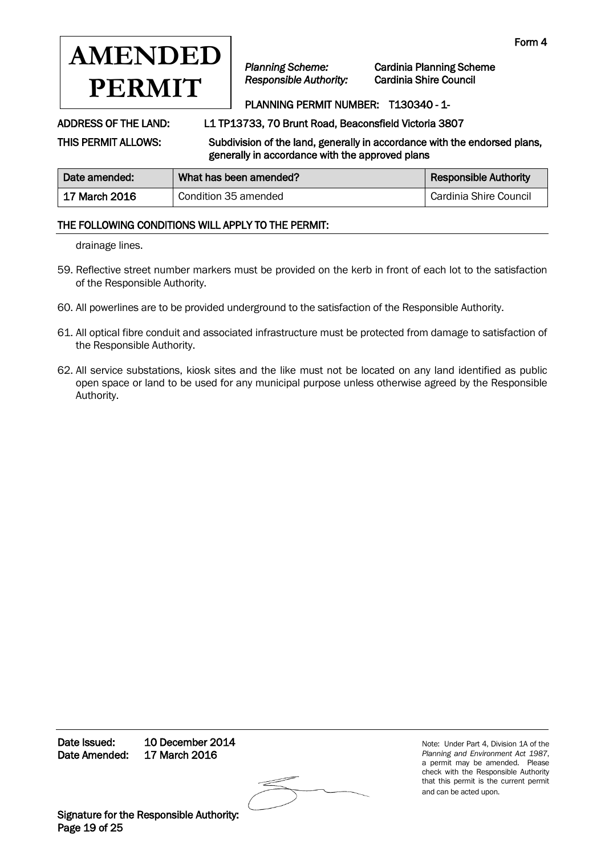

*Planning Scheme:* Cardinia Planning Scheme

# PLANNING PERMIT NUMBER: T130340 - 1-

ADDRESS OF THE LAND: L1 TP13733, 70 Brunt Road, Beaconsfield Victoria 3807

THIS PERMIT ALLOWS: Subdivision of the land, generally in accordance with the endorsed plans,

generally in accordance with the approved plans

| Date amended:     | What has been amended? | <b>Responsible Authority</b> |
|-------------------|------------------------|------------------------------|
| ∣ 17 March 2016 i | Condition 35 amended   | Cardinia Shire Council       |

## THE FOLLOWING CONDITIONS WILL APPLY TO THE PERMIT:

drainage lines.

- 59. Reflective street number markers must be provided on the kerb in front of each lot to the satisfaction of the Responsible Authority.
- 60. All powerlines are to be provided underground to the satisfaction of the Responsible Authority.
- 61. All optical fibre conduit and associated infrastructure must be protected from damage to satisfaction of the Responsible Authority.
- 62. All service substations, kiosk sites and the like must not be located on any land identified as public open space or land to be used for any municipal purpose unless otherwise agreed by the Responsible Authority.

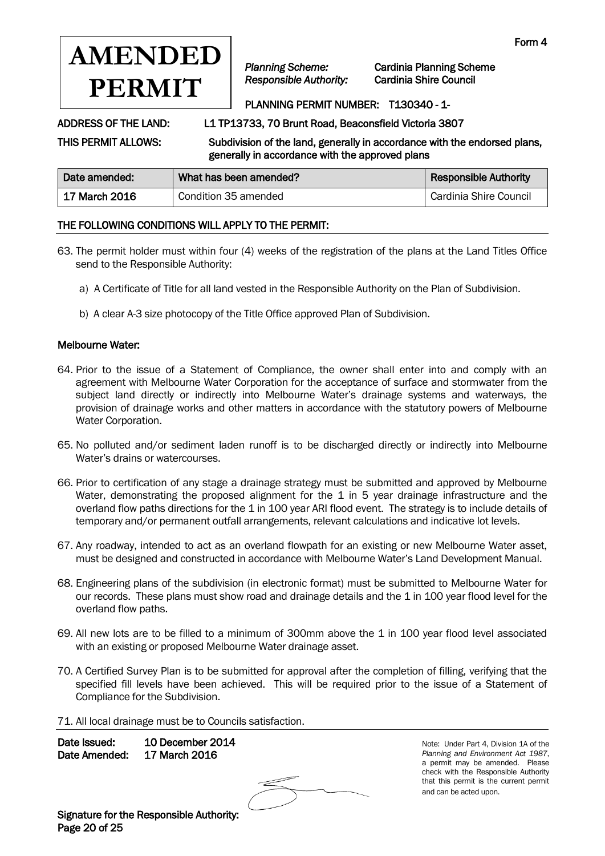

*Planning Scheme:* Cardinia Planning Scheme

## PLANNING PERMIT NUMBER: T130340 - 1-

ADDRESS OF THE LAND: L1 TP13733, 70 Brunt Road, Beaconsfield Victoria 3807

THIS PERMIT ALLOWS: Subdivision of the land, generally in accordance with the endorsed plans, generally in accordance with the approved plans

| Date amended: | What has been amended? | <b>Responsible Authority</b> |
|---------------|------------------------|------------------------------|
| 17 March 2016 | Condition 35 amended   | Cardinia Shire Council       |

## THE FOLLOWING CONDITIONS WILL APPLY TO THE PERMIT:

- 63. The permit holder must within four (4) weeks of the registration of the plans at the Land Titles Office send to the Responsible Authority:
	- a) A Certificate of Title for all land vested in the Responsible Authority on the Plan of Subdivision.
	- b) A clear A-3 size photocopy of the Title Office approved Plan of Subdivision.

### Melbourne Water:

- 64. Prior to the issue of a Statement of Compliance, the owner shall enter into and comply with an agreement with Melbourne Water Corporation for the acceptance of surface and stormwater from the subject land directly or indirectly into Melbourne Water's drainage systems and waterways, the provision of drainage works and other matters in accordance with the statutory powers of Melbourne Water Corporation.
- 65. No polluted and/or sediment laden runoff is to be discharged directly or indirectly into Melbourne Water's drains or watercourses.
- 66. Prior to certification of any stage a drainage strategy must be submitted and approved by Melbourne Water, demonstrating the proposed alignment for the 1 in 5 year drainage infrastructure and the overland flow paths directions for the 1 in 100 year ARI flood event. The strategy is to include details of temporary and/or permanent outfall arrangements, relevant calculations and indicative lot levels.
- 67. Any roadway, intended to act as an overland flowpath for an existing or new Melbourne Water asset, must be designed and constructed in accordance with Melbourne Water's Land Development Manual.
- 68. Engineering plans of the subdivision (in electronic format) must be submitted to Melbourne Water for our records. These plans must show road and drainage details and the 1 in 100 year flood level for the overland flow paths.
- 69. All new lots are to be filled to a minimum of 300mm above the 1 in 100 year flood level associated with an existing or proposed Melbourne Water drainage asset.
- 70. A Certified Survey Plan is to be submitted for approval after the completion of filling, verifying that the specified fill levels have been achieved. This will be required prior to the issue of a Statement of Compliance for the Subdivision.
- 71. All local drainage must be to Councils satisfaction.

Date Issued: 10 December 2014 Date Amended: 17 March 2016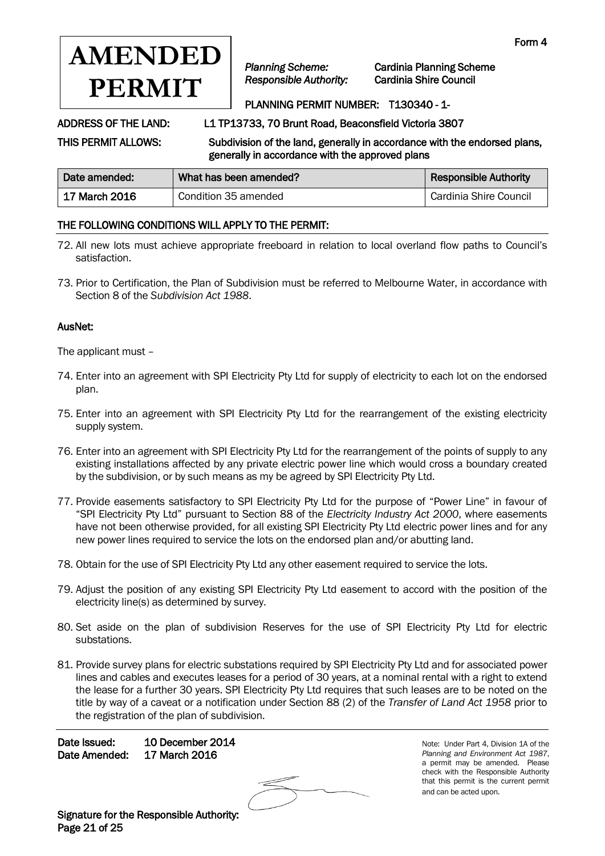

*Planning Scheme:* Cardinia Planning Scheme

## PLANNING PERMIT NUMBER: T130340 - 1-

ADDRESS OF THE LAND: L1 TP13733, 70 Brunt Road, Beaconsfield Victoria 3807

THIS PERMIT ALLOWS: Subdivision of the land, generally in accordance with the endorsed plans, generally in accordance with the approved plans

| Date amended:   | What has been amended? | <b>Responsible Authority</b> |
|-----------------|------------------------|------------------------------|
| ∣ 17 March 2016 | Condition 35 amended   | Cardinia Shire Council       |

## THE FOLLOWING CONDITIONS WILL APPLY TO THE PERMIT:

- 72. All new lots must achieve appropriate freeboard in relation to local overland flow paths to Council's satisfaction.
- 73. Prior to Certification, the Plan of Subdivision must be referred to Melbourne Water, in accordance with Section 8 of the *Subdivision Act 1988*.

### AusNet:

The applicant must –

- 74. Enter into an agreement with SPI Electricity Pty Ltd for supply of electricity to each lot on the endorsed plan.
- 75. Enter into an agreement with SPI Electricity Pty Ltd for the rearrangement of the existing electricity supply system.
- 76. Enter into an agreement with SPI Electricity Pty Ltd for the rearrangement of the points of supply to any existing installations affected by any private electric power line which would cross a boundary created by the subdivision, or by such means as my be agreed by SPI Electricity Pty Ltd.
- 77. Provide easements satisfactory to SPI Electricity Pty Ltd for the purpose of "Power Line" in favour of "SPI Electricity Pty Ltd" pursuant to Section 88 of the *Electricity Industry Act 2000*, where easements have not been otherwise provided, for all existing SPI Electricity Pty Ltd electric power lines and for any new power lines required to service the lots on the endorsed plan and/or abutting land.
- 78. Obtain for the use of SPI Electricity Pty Ltd any other easement required to service the lots.
- 79. Adjust the position of any existing SPI Electricity Pty Ltd easement to accord with the position of the electricity line(s) as determined by survey.
- 80. Set aside on the plan of subdivision Reserves for the use of SPI Electricity Pty Ltd for electric substations.
- 81. Provide survey plans for electric substations required by SPI Electricity Pty Ltd and for associated power lines and cables and executes leases for a period of 30 years, at a nominal rental with a right to extend the lease for a further 30 years. SPI Electricity Pty Ltd requires that such leases are to be noted on the title by way of a caveat or a notification under Section 88 (2) of the *Transfer of Land Act 1958* prior to the registration of the plan of subdivision.

Date Issued: 10 December 2014 Date Amended: 17 March 2016

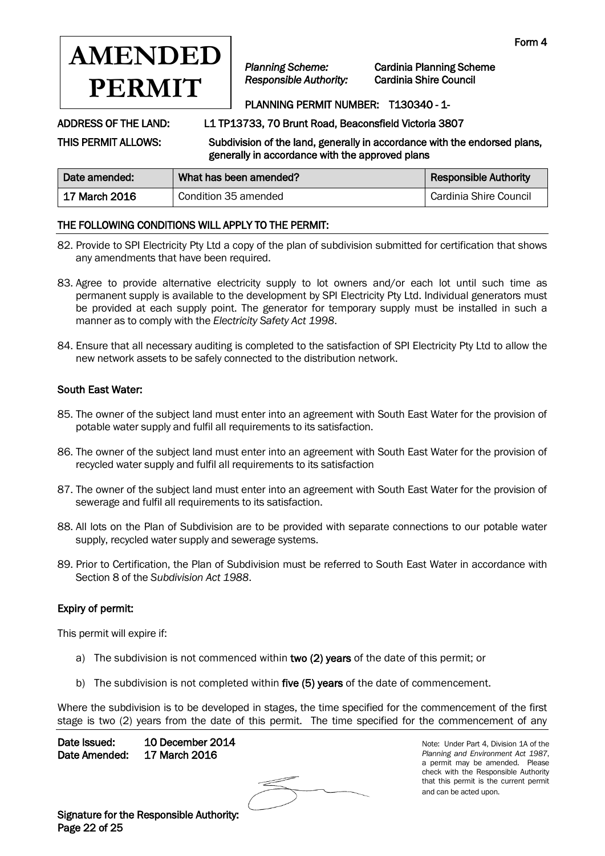

*Planning Scheme:* Cardinia Planning Scheme

## PLANNING PERMIT NUMBER: T130340 - 1-

ADDRESS OF THE LAND: L1 TP13733, 70 Brunt Road, Beaconsfield Victoria 3807

THIS PERMIT ALLOWS: Subdivision of the land, generally in accordance with the endorsed plans, generally in accordance with the approved plans

| Date amended: | What has been amended? | <b>Responsible Authority</b> |
|---------------|------------------------|------------------------------|
| 17 March 2016 | Condition 35 amended   | Cardinia Shire Council       |

## THE FOLLOWING CONDITIONS WILL APPLY TO THE PERMIT:

- 82. Provide to SPI Electricity Pty Ltd a copy of the plan of subdivision submitted for certification that shows any amendments that have been required.
- 83. Agree to provide alternative electricity supply to lot owners and/or each lot until such time as permanent supply is available to the development by SPI Electricity Pty Ltd. Individual generators must be provided at each supply point. The generator for temporary supply must be installed in such a manner as to comply with the *Electricity Safety Act 1998*.
- 84. Ensure that all necessary auditing is completed to the satisfaction of SPI Electricity Pty Ltd to allow the new network assets to be safely connected to the distribution network.

### South East Water:

- 85. The owner of the subject land must enter into an agreement with South East Water for the provision of potable water supply and fulfil all requirements to its satisfaction.
- 86. The owner of the subject land must enter into an agreement with South East Water for the provision of recycled water supply and fulfil all requirements to its satisfaction
- 87. The owner of the subject land must enter into an agreement with South East Water for the provision of sewerage and fulfil all requirements to its satisfaction.
- 88. All lots on the Plan of Subdivision are to be provided with separate connections to our potable water supply, recycled water supply and sewerage systems.
- 89. Prior to Certification, the Plan of Subdivision must be referred to South East Water in accordance with Section 8 of the *Subdivision Act 1988*.

### Expiry of permit:

This permit will expire if:

- a) The subdivision is not commenced within two (2) years of the date of this permit; or
- b) The subdivision is not completed within five (5) years of the date of commencement.

Where the subdivision is to be developed in stages, the time specified for the commencement of the first stage is two (2) years from the date of this permit. The time specified for the commencement of any

Date Issued: 10 December 2014 Date Amended: 17 March 2016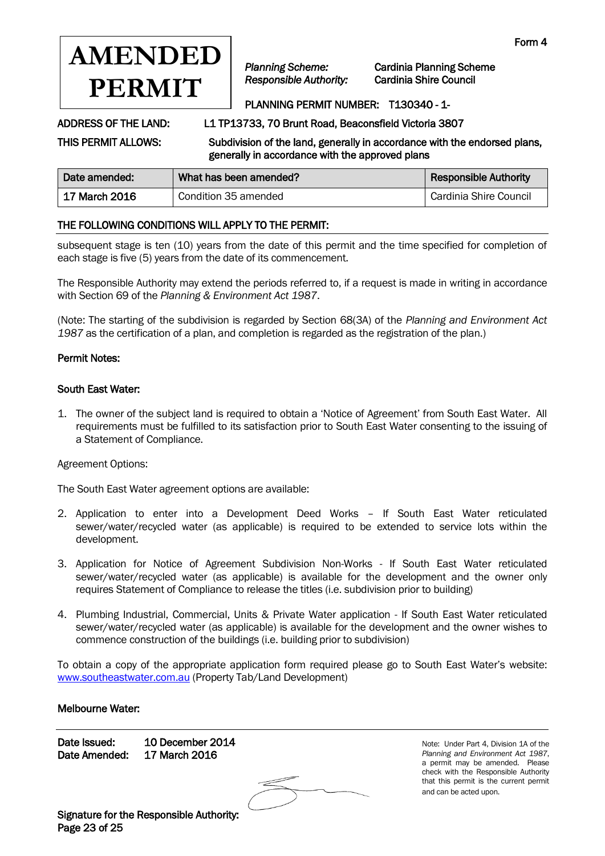

*Planning Scheme:* Cardinia Planning Scheme

# PLANNING PERMIT NUMBER: T130340 - 1-

ADDRESS OF THE LAND: L1 TP13733, 70 Brunt Road, Beaconsfield Victoria 3807

THIS PERMIT ALLOWS: Subdivision of the land, generally in accordance with the endorsed plans, generally in accordance with the approved plans

| Date amended: | What has been amended? | <b>Responsible Authority</b> |
|---------------|------------------------|------------------------------|
| 17 March 2016 | Condition 35 amended   | Cardinia Shire Council       |

## THE FOLLOWING CONDITIONS WILL APPLY TO THE PERMIT:

subsequent stage is ten (10) years from the date of this permit and the time specified for completion of each stage is five (5) years from the date of its commencement.

The Responsible Authority may extend the periods referred to, if a request is made in writing in accordance with Section 69 of the *Planning & Environment Act 1987*.

(Note: The starting of the subdivision is regarded by Section 68(3A) of the *Planning and Environment Act 1987* as the certification of a plan, and completion is regarded as the registration of the plan.)

### Permit Notes:

### South East Water:

1. The owner of the subject land is required to obtain a 'Notice of Agreement' from South East Water. All requirements must be fulfilled to its satisfaction prior to South East Water consenting to the issuing of a Statement of Compliance.

Agreement Options:

The South East Water agreement options are available:

- 2. Application to enter into a Development Deed Works If South East Water reticulated sewer/water/recycled water (as applicable) is required to be extended to service lots within the development.
- 3. Application for Notice of Agreement Subdivision Non-Works If South East Water reticulated sewer/water/recycled water (as applicable) is available for the development and the owner only requires Statement of Compliance to release the titles (i.e. subdivision prior to building)
- 4. Plumbing Industrial, Commercial, Units & Private Water application If South East Water reticulated sewer/water/recycled water (as applicable) is available for the development and the owner wishes to commence construction of the buildings (i.e. building prior to subdivision)

To obtain a copy of the appropriate application form required please go to South East Water's website: [www.southeastwater.com.au](http://www.southeastwater.com.au/) (Property Tab/Land Development)

### Melbourne Water:

Date Issued: 10 December 2014 Date Amended: 17 March 2016

Note: Under Part 4, Division 1A of the *Planning and Environment Act 1987*, a permit may be amended. Please check with the Responsible Authority that this permit is the current permit and can be acted upon.

Signature for the Responsible Authority: Page 23 of 25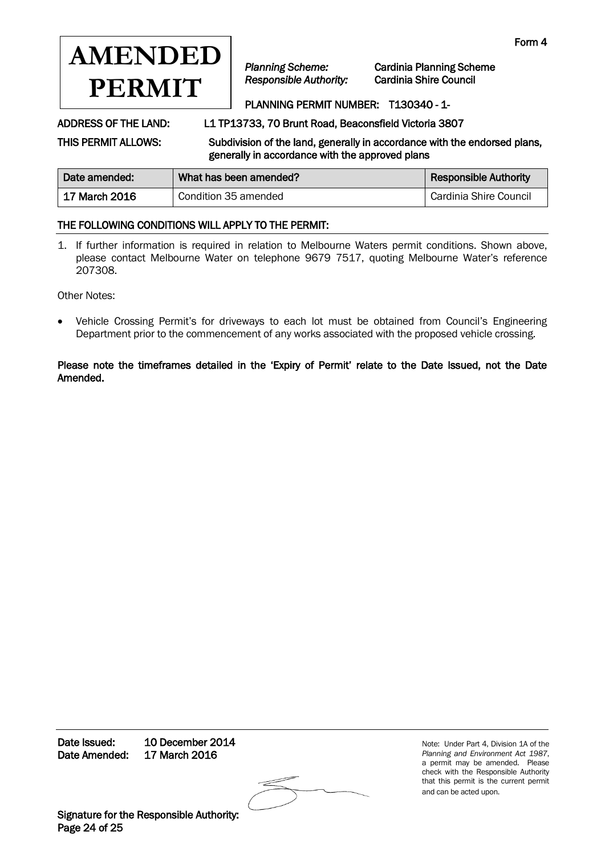

*Planning Scheme:* Cardinia Planning Scheme

# PLANNING PERMIT NUMBER: T130340 - 1-

ADDRESS OF THE LAND: L1 TP13733, 70 Brunt Road, Beaconsfield Victoria 3807

THIS PERMIT ALLOWS: Subdivision of the land, generally in accordance with the endorsed plans, generally in accordance with the approved plans

| Date amended:   | What has been amended? | <b>Responsible Authority</b> |
|-----------------|------------------------|------------------------------|
| ∣ 17 March 2016 | Condition 35 amended   | Cardinia Shire Council       |

## THE FOLLOWING CONDITIONS WILL APPLY TO THE PERMIT:

1. If further information is required in relation to Melbourne Waters permit conditions. Shown above, please contact Melbourne Water on telephone 9679 7517, quoting Melbourne Water's reference 207308.

Other Notes:

 Vehicle Crossing Permit's for driveways to each lot must be obtained from Council's Engineering Department prior to the commencement of any works associated with the proposed vehicle crossing.

Please note the timeframes detailed in the 'Expiry of Permit' relate to the Date Issued, not the Date Amended.

Date Issued: 10 December 2014 Date Amended: 17 March 2016